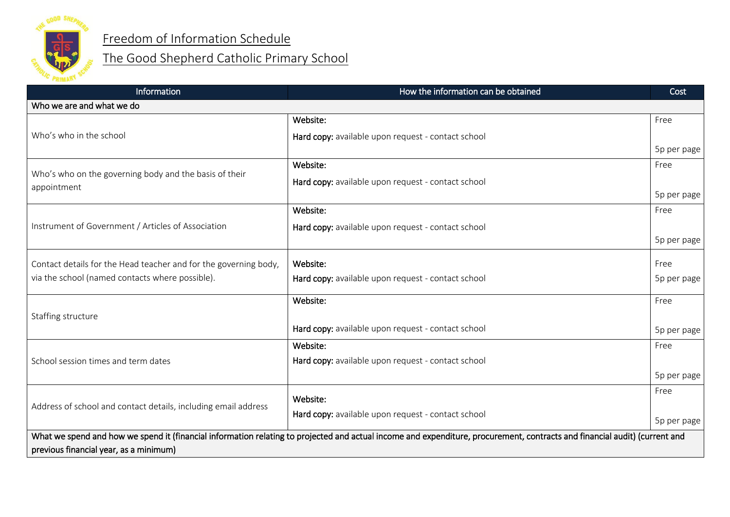

## Freedom of Information Schedule

## The Good Shepherd Catholic Primary School

| Information                                                                                                                                                                | How the information can be obtained                | Cost        |
|----------------------------------------------------------------------------------------------------------------------------------------------------------------------------|----------------------------------------------------|-------------|
| Who we are and what we do                                                                                                                                                  |                                                    |             |
|                                                                                                                                                                            | Website:                                           | Free        |
| Who's who in the school                                                                                                                                                    | Hard copy: available upon request - contact school |             |
|                                                                                                                                                                            |                                                    | 5p per page |
|                                                                                                                                                                            | Website:                                           | Free        |
| Who's who on the governing body and the basis of their<br>appointment                                                                                                      | Hard copy: available upon request - contact school |             |
|                                                                                                                                                                            |                                                    | 5p per page |
|                                                                                                                                                                            | Website:                                           | Free        |
| Instrument of Government / Articles of Association                                                                                                                         | Hard copy: available upon request - contact school |             |
|                                                                                                                                                                            |                                                    | 5p per page |
| Contact details for the Head teacher and for the governing body,                                                                                                           | Website:                                           | Free        |
| via the school (named contacts where possible).                                                                                                                            | Hard copy: available upon request - contact school | 5p per page |
|                                                                                                                                                                            |                                                    |             |
|                                                                                                                                                                            | Website:                                           | Free        |
| Staffing structure                                                                                                                                                         |                                                    |             |
|                                                                                                                                                                            | Hard copy: available upon request - contact school | 5p per page |
| School session times and term dates                                                                                                                                        | Website:                                           | Free        |
|                                                                                                                                                                            | Hard copy: available upon request - contact school |             |
|                                                                                                                                                                            |                                                    | 5p per page |
| Address of school and contact details, including email address                                                                                                             | Website:                                           | Free        |
|                                                                                                                                                                            | Hard copy: available upon request - contact school |             |
|                                                                                                                                                                            |                                                    | 5p per page |
| What we spend and how we spend it (financial information relating to projected and actual income and expenditure, procurement, contracts and financial audit) (current and |                                                    |             |
| previous financial year, as a minimum)                                                                                                                                     |                                                    |             |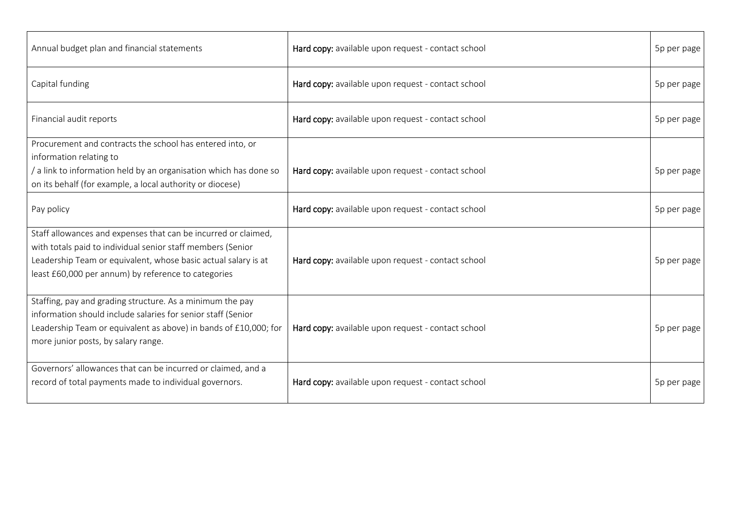| Annual budget plan and financial statements                       | Hard copy: available upon request - contact school | 5p per page |
|-------------------------------------------------------------------|----------------------------------------------------|-------------|
| Capital funding                                                   | Hard copy: available upon request - contact school | 5p per page |
| Financial audit reports                                           | Hard copy: available upon request - contact school | 5p per page |
| Procurement and contracts the school has entered into, or         |                                                    |             |
| information relating to                                           |                                                    |             |
| / a link to information held by an organisation which has done so | Hard copy: available upon request - contact school | 5p per page |
| on its behalf (for example, a local authority or diocese)         |                                                    |             |
| Pay policy                                                        | Hard copy: available upon request - contact school | 5p per page |
| Staff allowances and expenses that can be incurred or claimed,    |                                                    |             |
| with totals paid to individual senior staff members (Senior       |                                                    |             |
| Leadership Team or equivalent, whose basic actual salary is at    | Hard copy: available upon request - contact school | 5p per page |
| least £60,000 per annum) by reference to categories               |                                                    |             |
| Staffing, pay and grading structure. As a minimum the pay         |                                                    |             |
| information should include salaries for senior staff (Senior      |                                                    |             |
| Leadership Team or equivalent as above) in bands of £10,000; for  | Hard copy: available upon request - contact school | 5p per page |
| more junior posts, by salary range.                               |                                                    |             |
|                                                                   |                                                    |             |
| Governors' allowances that can be incurred or claimed, and a      |                                                    |             |
| record of total payments made to individual governors.            | Hard copy: available upon request - contact school | 5p per page |
|                                                                   |                                                    |             |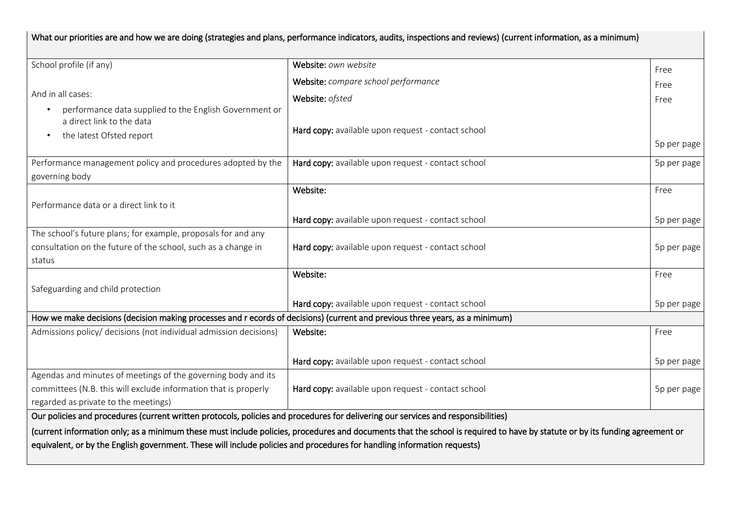| What our priorities are and how we are doing (strategies and plans, performance indicators, audits, inspections and reviews) (current information, as a minimum)         |                                                                                                                                                                             |                     |  |
|--------------------------------------------------------------------------------------------------------------------------------------------------------------------------|-----------------------------------------------------------------------------------------------------------------------------------------------------------------------------|---------------------|--|
| School profile (if any)                                                                                                                                                  | Website: own website                                                                                                                                                        | Free                |  |
|                                                                                                                                                                          | Website: compare school performance                                                                                                                                         | Free                |  |
| And in all cases:<br>performance data supplied to the English Government or<br>$\bullet$<br>a direct link to the data<br>the latest Ofsted report                        | Website: ofsted<br>Hard copy: available upon request - contact school                                                                                                       | Free<br>5p per page |  |
| Performance management policy and procedures adopted by the<br>governing body                                                                                            | Hard copy: available upon request - contact school                                                                                                                          | 5p per page         |  |
| Performance data or a direct link to it                                                                                                                                  | Website:<br>Hard copy: available upon request - contact school                                                                                                              | Free<br>5p per page |  |
| The school's future plans; for example, proposals for and any<br>consultation on the future of the school, such as a change in<br>status                                 | Hard copy: available upon request - contact school                                                                                                                          | 5p per page         |  |
| Safeguarding and child protection                                                                                                                                        | Website:<br>Hard copy: available upon request - contact school                                                                                                              | Free<br>5p per page |  |
| How we make decisions (decision making processes and r ecords of decisions) (current and previous three years, as a minimum)                                             |                                                                                                                                                                             |                     |  |
| Admissions policy/ decisions (not individual admission decisions)                                                                                                        | Website:                                                                                                                                                                    | Free                |  |
|                                                                                                                                                                          | Hard copy: available upon request - contact school                                                                                                                          | 5p per page         |  |
| Agendas and minutes of meetings of the governing body and its<br>committees (N.B. this will exclude information that is properly<br>regarded as private to the meetings) | Hard copy: available upon request - contact school                                                                                                                          | 5p per page         |  |
| Our policies and procedures (current written protocols, policies and procedures for delivering our services and responsibilities)                                        |                                                                                                                                                                             |                     |  |
| equivalent, or by the English government. These will include policies and procedures for handling information requests)                                                  | (current information only; as a minimum these must include policies, procedures and documents that the school is required to have by statute or by its funding agreement or |                     |  |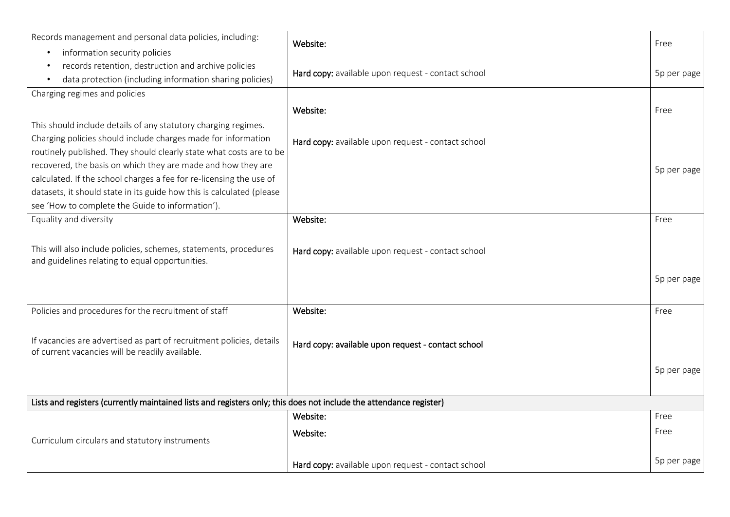| Records management and personal data policies, including:<br>information security policies<br>$\bullet$                                   | Website:                                           | Free        |
|-------------------------------------------------------------------------------------------------------------------------------------------|----------------------------------------------------|-------------|
| records retention, destruction and archive policies<br>$\bullet$<br>data protection (including information sharing policies)<br>$\bullet$ | Hard copy: available upon request - contact school | 5p per page |
| Charging regimes and policies                                                                                                             |                                                    |             |
|                                                                                                                                           | Website:                                           | Free        |
| This should include details of any statutory charging regimes.                                                                            |                                                    |             |
| Charging policies should include charges made for information                                                                             | Hard copy: available upon request - contact school |             |
| routinely published. They should clearly state what costs are to be                                                                       |                                                    |             |
| recovered, the basis on which they are made and how they are                                                                              |                                                    | 5p per page |
| calculated. If the school charges a fee for re-licensing the use of                                                                       |                                                    |             |
| datasets, it should state in its guide how this is calculated (please                                                                     |                                                    |             |
| see 'How to complete the Guide to information').                                                                                          |                                                    |             |
| Equality and diversity                                                                                                                    | Website:                                           | Free        |
|                                                                                                                                           |                                                    |             |
| This will also include policies, schemes, statements, procedures                                                                          | Hard copy: available upon request - contact school |             |
| and guidelines relating to equal opportunities.                                                                                           |                                                    |             |
|                                                                                                                                           |                                                    | 5p per page |
|                                                                                                                                           |                                                    |             |
| Policies and procedures for the recruitment of staff                                                                                      | Website:                                           | Free        |
|                                                                                                                                           |                                                    |             |
| If vacancies are advertised as part of recruitment policies, details                                                                      |                                                    |             |
| of current vacancies will be readily available.                                                                                           | Hard copy: available upon request - contact school |             |
|                                                                                                                                           |                                                    | 5p per page |
|                                                                                                                                           |                                                    |             |
|                                                                                                                                           |                                                    |             |
| Lists and registers (currently maintained lists and registers only; this does not include the attendance register)                        |                                                    |             |
|                                                                                                                                           | Website:                                           | Free        |
| Curriculum circulars and statutory instruments                                                                                            | Website:                                           | Free        |
|                                                                                                                                           |                                                    |             |
|                                                                                                                                           | Hard copy: available upon request - contact school | 5p per page |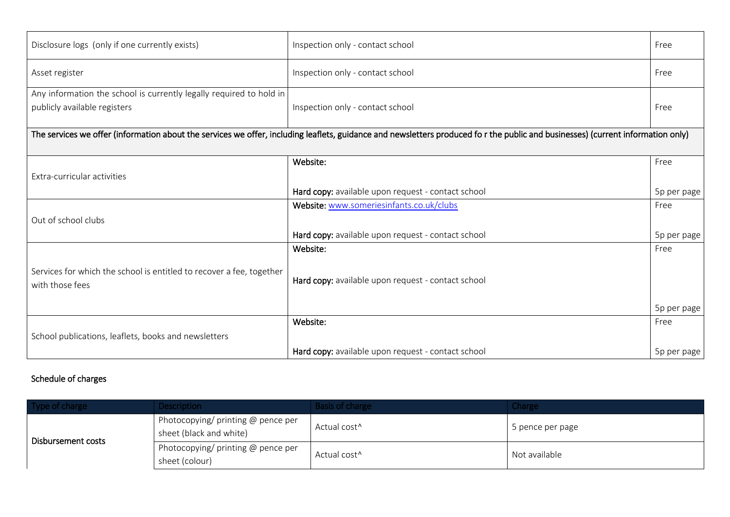| Disclosure logs (only if one currently exists)                                                                                                                                   | Inspection only - contact school                   | Free        |  |
|----------------------------------------------------------------------------------------------------------------------------------------------------------------------------------|----------------------------------------------------|-------------|--|
| Asset register                                                                                                                                                                   | Inspection only - contact school                   | Free        |  |
| Any information the school is currently legally required to hold in<br>publicly available registers                                                                              | Inspection only - contact school                   | Free        |  |
| The services we offer (information about the services we offer, including leaflets, guidance and newsletters produced fo r the public and businesses) (current information only) |                                                    |             |  |
| Extra-curricular activities                                                                                                                                                      | Website:                                           | Free        |  |
|                                                                                                                                                                                  | Hard copy: available upon request - contact school | 5p per page |  |
|                                                                                                                                                                                  | Website: www.someriesinfants.co.uk/clubs           | Free        |  |
| Out of school clubs                                                                                                                                                              |                                                    |             |  |
|                                                                                                                                                                                  | Hard copy: available upon request - contact school | 5p per page |  |
|                                                                                                                                                                                  | Website:                                           | Free        |  |
| Services for which the school is entitled to recover a fee, together<br>with those fees                                                                                          | Hard copy: available upon request - contact school |             |  |
|                                                                                                                                                                                  |                                                    | 5p per page |  |
|                                                                                                                                                                                  | Website:                                           | Free        |  |
| School publications, leaflets, books and newsletters                                                                                                                             |                                                    |             |  |
|                                                                                                                                                                                  | Hard copy: available upon request - contact school | 5p per page |  |

## Schedule of charges

| Type of charge     | <b>Description</b>                                            | <b>Basis of charge</b>   | <b>Charge</b>    |
|--------------------|---------------------------------------------------------------|--------------------------|------------------|
| Disbursement costs | Photocopying/ printing @ pence per<br>sheet (black and white) | Actual cost <sup>^</sup> | 5 pence per page |
|                    | Photocopying/ printing $@$ pence per<br>sheet (colour)        | Actual cost <sup>^</sup> | Not available    |